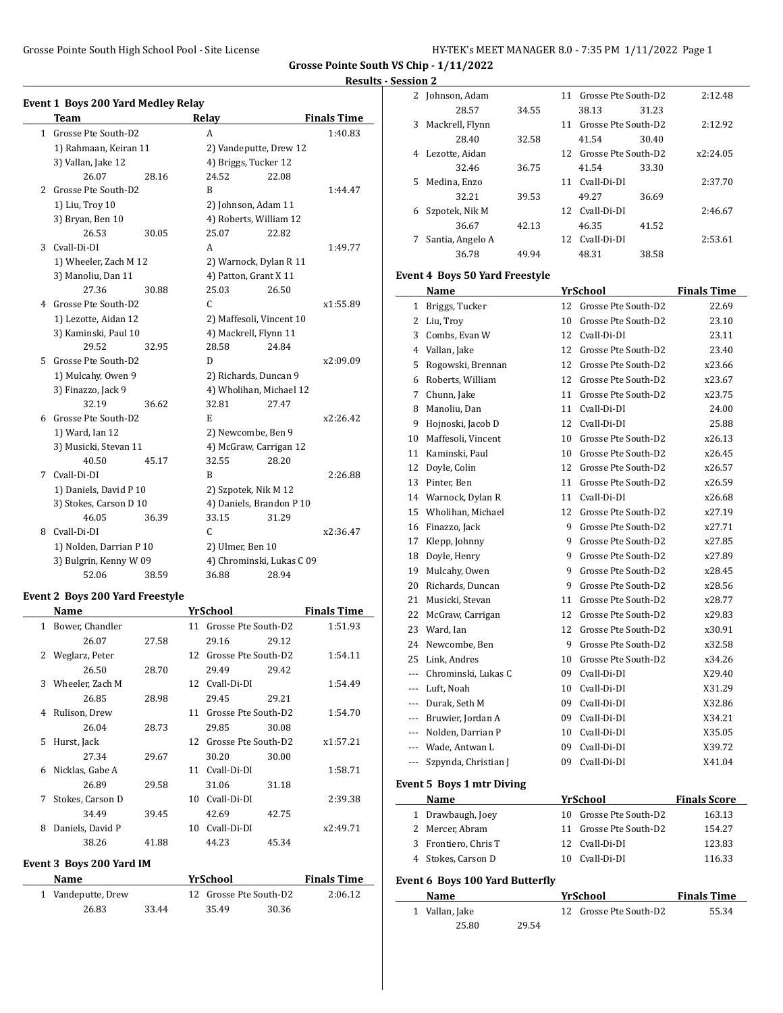**Grosse Pointe South VS Chip - 1/11/2022**

# **Results - Session 2**

|              | <b>Event 1 Boys 200 Yard Medley Relay</b> |       |                           |       |                    |
|--------------|-------------------------------------------|-------|---------------------------|-------|--------------------|
|              | <b>Team</b>                               |       | Relay                     |       | <b>Finals Time</b> |
| $\mathbf{1}$ | Grosse Pte South-D2                       |       | A                         |       | 1:40.83            |
|              | 1) Rahmaan, Keiran 11                     |       | 2) Vandeputte, Drew 12    |       |                    |
|              | 3) Vallan, Jake 12                        |       | 4) Briggs, Tucker 12      |       |                    |
|              | 26.07                                     | 28.16 | 24.52                     | 22.08 |                    |
| 2            | Grosse Pte South-D2                       |       | B                         |       | 1:44.47            |
|              | 1) Liu, Troy 10                           |       | 2) Johnson, Adam 11       |       |                    |
|              | 3) Bryan, Ben 10                          |       | 4) Roberts, William 12    |       |                    |
|              | 26.53                                     | 30.05 | 25.07                     | 22.82 |                    |
| 3            | Cyall-Di-DI                               |       | A                         |       | 1:49.77            |
|              | 1) Wheeler, Zach M 12                     |       | 2) Warnock, Dylan R 11    |       |                    |
|              | 3) Manoliu, Dan 11                        |       | 4) Patton, Grant X 11     |       |                    |
|              | 27.36                                     | 30.88 | 25.03                     | 26.50 |                    |
| 4            | Grosse Pte South-D2                       |       | $\mathsf{C}$              |       | x1:55.89           |
|              | 1) Lezotte, Aidan 12                      |       | 2) Maffesoli, Vincent 10  |       |                    |
|              | 3) Kaminski, Paul 10                      |       | 4) Mackrell, Flynn 11     |       |                    |
|              | 29.52                                     | 32.95 | 28.58                     | 24.84 |                    |
| 5            | Grosse Pte South-D2                       |       | D                         |       | x2:09.09           |
|              | 1) Mulcahy, Owen 9                        |       | 2) Richards, Duncan 9     |       |                    |
|              | 3) Finazzo, Jack 9                        |       | 4) Wholihan, Michael 12   |       |                    |
|              | 32.19                                     | 36.62 | 32.81                     | 27.47 |                    |
| 6            | Grosse Pte South-D2                       |       | E                         |       | x2:26.42           |
|              | 1) Ward, Ian 12                           |       | 2) Newcombe, Ben 9        |       |                    |
|              | 3) Musicki, Stevan 11                     |       | 4) McGraw, Carrigan 12    |       |                    |
|              | 40.50                                     | 45.17 | 32.55                     | 28.20 |                    |
| 7            | Cyall-Di-DI                               |       | B                         |       | 2:26.88            |
|              | 1) Daniels, David P 10                    |       | 2) Szpotek, Nik M 12      |       |                    |
|              | 3) Stokes, Carson D 10                    |       | 4) Daniels, Brandon P 10  |       |                    |
|              | 46.05                                     | 36.39 | 33.15                     | 31.29 |                    |
| 8            | Cyall-Di-DI                               |       | C.                        |       | x2:36.47           |
|              | 1) Nolden, Darrian P 10                   |       | 2) Ulmer, Ben 10          |       |                    |
|              | 3) Bulgrin, Kenny W 09                    |       | 4) Chrominski, Lukas C 09 |       |                    |
|              | 52.06                                     | 38.59 | 36.88                     | 28.94 |                    |

## **Event 2 Boys 200 Yard Freestyle**

|    | Name             |       |    | YrSchool               |       | <b>Finals Time</b> |
|----|------------------|-------|----|------------------------|-------|--------------------|
| 1  | Bower, Chandler  |       | 11 | Grosse Pte South-D2    |       | 1:51.93            |
|    | 26.07            | 27.58 |    | 29.16                  | 29.12 |                    |
|    | 2 Weglarz, Peter |       | 12 | Grosse Pte South-D2    |       | 1:54.11            |
|    | 26.50            | 28.70 |    | 29.49                  | 29.42 |                    |
| 3  | Wheeler, Zach M  |       |    | 12 Cvall-Di-DI         |       | 1:54.49            |
|    | 26.85            | 28.98 |    | 29.45                  | 29.21 |                    |
| 4  | Rulison, Drew    |       | 11 | Grosse Pte South-D2    |       | 1:54.70            |
|    | 26.04            | 28.73 |    | 29.85                  | 30.08 |                    |
| 5. | Hurst, Jack      |       |    | 12 Grosse Pte South-D2 |       | x1:57.21           |
|    | 27.34            | 29.67 |    | 30.20                  | 30.00 |                    |
| 6  | Nicklas, Gabe A  |       | 11 | Cyall-Di-DI            |       | 1:58.71            |
|    | 26.89            | 29.58 |    | 31.06                  | 31.18 |                    |
| 7  | Stokes, Carson D |       | 10 | Cvall-Di-DI            |       | 2:39.38            |
|    | 34.49            | 39.45 |    | 42.69                  | 42.75 |                    |
| 8  | Daniels, David P |       | 10 | Cvall-Di-DI            |       | x2:49.71           |
|    | 38.26            | 41.88 |    | 44.23                  | 45.34 |                    |
|    |                  |       |    |                        |       |                    |

## **Event 3 Boys 200 Yard IM**

 $\overline{\phantom{a}}$ 

| <b>Name</b>        |       | <b>YrSchool</b>        |       | <b>Finals Time</b> |  |
|--------------------|-------|------------------------|-------|--------------------|--|
| 1 Vandeputte, Drew |       | 12 Grosse Pte South-D2 |       | 2:06.12            |  |
| 26.83              | 33.44 | 35.49                  | 30.36 |                    |  |

| 2  | Johnson, Adam                                                                                                                                                                                                                 |       | 11 | Grosse Pte South-D2    | 2:12.48             |
|----|-------------------------------------------------------------------------------------------------------------------------------------------------------------------------------------------------------------------------------|-------|----|------------------------|---------------------|
|    | 28.57                                                                                                                                                                                                                         | 34.55 |    | 38.13<br>31.23         |                     |
| 3  | Mackrell, Flynn                                                                                                                                                                                                               |       |    | 11 Grosse Pte South-D2 | 2:12.92             |
|    | 28.40                                                                                                                                                                                                                         | 32.58 |    | 41.54<br>30.40         |                     |
| 4  | Lezotte, Aidan                                                                                                                                                                                                                |       |    | 12 Grosse Pte South-D2 | x2:24.05            |
|    | 32.46                                                                                                                                                                                                                         | 36.75 |    | 41.54<br>33.30         |                     |
| 5  | Medina, Enzo                                                                                                                                                                                                                  |       | 11 | Cvall-Di-DI            | 2:37.70             |
|    | 32.21                                                                                                                                                                                                                         | 39.53 |    | 49.27<br>36.69         |                     |
| 6  | Szpotek, Nik M                                                                                                                                                                                                                |       | 12 | Cvall-Di-DI            | 2:46.67             |
|    | 36.67                                                                                                                                                                                                                         | 42.13 |    | 46.35<br>41.52         |                     |
| 7  | Santia, Angelo A                                                                                                                                                                                                              |       |    | 12 Cvall-Di-DI         | 2:53.61             |
|    | 36.78                                                                                                                                                                                                                         | 49.94 |    | 48.31<br>38.58         |                     |
|    |                                                                                                                                                                                                                               |       |    |                        |                     |
|    | <b>Event 4 Boys 50 Yard Freestyle</b>                                                                                                                                                                                         |       |    |                        |                     |
|    | Name                                                                                                                                                                                                                          |       |    | <b>YrSchool</b>        | <b>Finals Time</b>  |
|    | 1 Briggs, Tucker                                                                                                                                                                                                              |       |    | 12 Grosse Pte South-D2 | 22.69               |
|    | 2 Liu, Troy                                                                                                                                                                                                                   |       | 10 | Grosse Pte South-D2    | 23.10               |
| 3  | Combs, Evan W                                                                                                                                                                                                                 |       | 12 | Cvall-Di-DI            | 23.11               |
| 4  | Vallan, Jake                                                                                                                                                                                                                  |       | 12 | Grosse Pte South-D2    | 23.40               |
| 5  | Rogowski, Brennan                                                                                                                                                                                                             |       | 12 | Grosse Pte South-D2    | x23.66              |
| 6  | Roberts, William                                                                                                                                                                                                              |       | 12 | Grosse Pte South-D2    | x23.67              |
| 7  | Chunn, Jake                                                                                                                                                                                                                   |       | 11 | Grosse Pte South-D2    | x23.75              |
| 8  | Manoliu, Dan                                                                                                                                                                                                                  |       | 11 | Cvall-Di-DI            | 24.00               |
| 9  | Hojnoski, Jacob D                                                                                                                                                                                                             |       | 12 | Cvall-Di-DI            | 25.88               |
| 10 | Maffesoli, Vincent                                                                                                                                                                                                            |       | 10 | Grosse Pte South-D2    | x26.13              |
| 11 | Kaminski, Paul                                                                                                                                                                                                                |       |    | 10 Grosse Pte South-D2 | x26.45              |
| 12 | Doyle, Colin                                                                                                                                                                                                                  |       | 12 | Grosse Pte South-D2    | x26.57              |
| 13 | Pinter, Ben                                                                                                                                                                                                                   |       | 11 | Grosse Pte South-D2    | x26.59              |
| 14 | Warnock, Dylan R                                                                                                                                                                                                              |       | 11 | Cvall-Di-DI            | x26.68              |
| 15 | Wholihan, Michael                                                                                                                                                                                                             |       | 12 | Grosse Pte South-D2    | x27.19              |
| 16 | Finazzo, Jack                                                                                                                                                                                                                 |       | 9  | Grosse Pte South-D2    | x27.71              |
| 17 | Klepp, Johnny                                                                                                                                                                                                                 |       | 9. | Grosse Pte South-D2    | x27.85              |
| 18 | Doyle, Henry                                                                                                                                                                                                                  |       | 9  | Grosse Pte South-D2    | x27.89              |
| 19 | Mulcahy, Owen                                                                                                                                                                                                                 |       | 9  | Grosse Pte South-D2    | x28.45              |
| 20 | Richards, Duncan                                                                                                                                                                                                              |       | 9  | Grosse Pte South-D2    | x28.56              |
| 21 | Musicki, Stevan                                                                                                                                                                                                               |       | 11 | Grosse Pte South-D2    | x28.77              |
| 22 | McGraw, Carrigan                                                                                                                                                                                                              |       | 12 | Grosse Pte South-D2    | x29.83              |
| 23 | Ward, Ian                                                                                                                                                                                                                     |       | 12 | Grosse Pte South-D2    | x30.91              |
| 24 | Newcombe, Ben                                                                                                                                                                                                                 |       | 9  | Grosse Pte South-D2    | x32.58              |
|    | 25 Link, Andres                                                                                                                                                                                                               |       |    | 10 Grosse Pte South-D2 | x34.26              |
|    | --- Chrominski, Lukas C                                                                                                                                                                                                       |       |    | 09 Cvall-Di-DI         | X29.40              |
|    | --- Luft, Noah                                                                                                                                                                                                                |       | 10 | Cvall-Di-DI            | X31.29              |
|    | --- Durak, Seth M                                                                                                                                                                                                             |       | 09 | Cvall-Di-DI            | X32.86              |
|    | --- Bruwier, Jordan A                                                                                                                                                                                                         |       |    | 09 Cvall-Di-DI         | X34.21              |
|    | --- Nolden, Darrian P                                                                                                                                                                                                         |       |    | 10 Cvall-Di-DI         | X35.05              |
|    | --- Wade, Antwan L                                                                                                                                                                                                            |       | 09 | Cvall-Di-DI            | X39.72              |
|    | --- Szpynda, Christian J                                                                                                                                                                                                      |       |    | 09 Cvall-Di-DI         | X41.04              |
|    |                                                                                                                                                                                                                               |       |    |                        |                     |
|    | <b>Event 5 Boys 1 mtr Diving</b>                                                                                                                                                                                              |       |    |                        |                     |
|    | Name                                                                                                                                                                                                                          |       |    | <b>YrSchool</b>        | <b>Finals Score</b> |
|    | 1 Drawbaugh, Joey                                                                                                                                                                                                             |       |    | 10 Grosse Pte South-D2 | 163.13              |
|    | 2 Mercer, Abram                                                                                                                                                                                                               |       | 11 | Grosse Pte South-D2    | 154.27              |
|    | 3 Frontiero, Chris T                                                                                                                                                                                                          |       |    | 12 Cvall-Di-DI         | 123.83              |
|    | 4 Stokes, Carson D                                                                                                                                                                                                            |       |    | 10 Cvall-Di-DI         | 116.33              |
|    | Event 6 Boys 100 Yard Butterfly                                                                                                                                                                                               |       |    |                        |                     |
|    | Name and the same state of the state of the state of the state of the state of the state of the state of the state of the state of the state of the state of the state of the state of the state of the state of the state of |       |    | <u>YrSchool</u>        | <b>Finals Time</b>  |
|    | 1 Vallan, Jake                                                                                                                                                                                                                |       |    | 12 Grosse Pte South-D2 | 55.34               |

25.80 29.54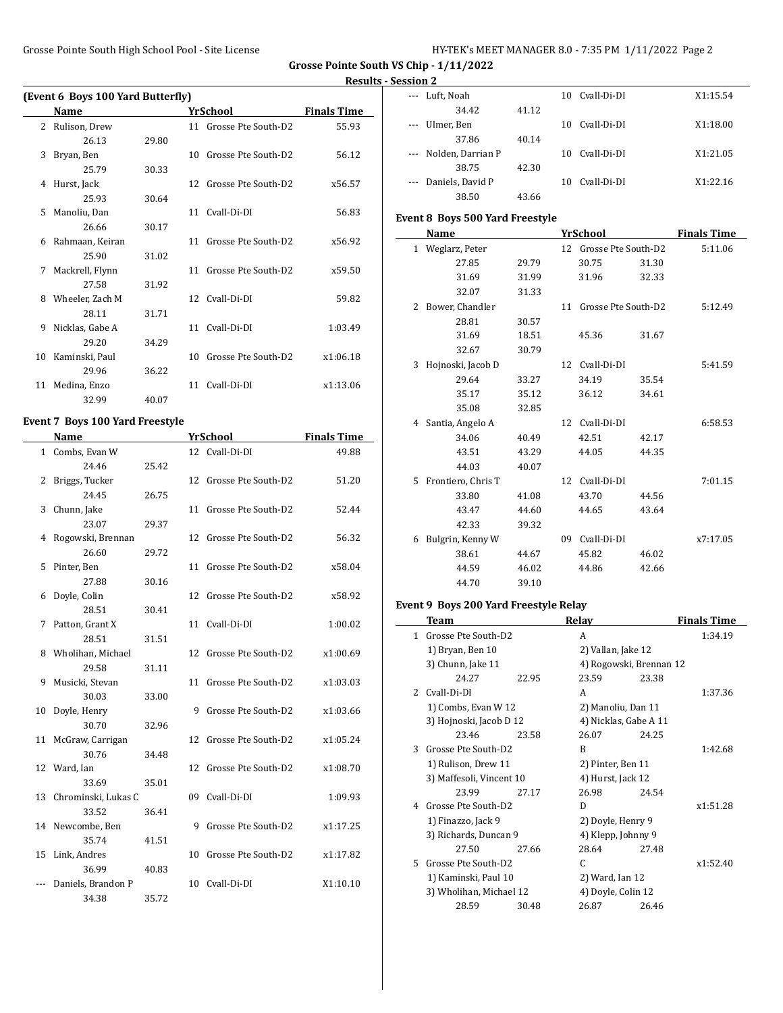**Grosse Pointe South VS Chip - 1/11/2022**

### **Results - Session 2**

|    | (Event 6 Boys 100 Yard Butterfly) |       |    |                        |                    |  |  |  |
|----|-----------------------------------|-------|----|------------------------|--------------------|--|--|--|
|    | Name                              |       |    | YrSchool               | <b>Finals Time</b> |  |  |  |
| 2  | Rulison, Drew                     |       |    | 11 Grosse Pte South-D2 | 55.93              |  |  |  |
|    | 26.13                             | 29.80 |    |                        |                    |  |  |  |
| 3  | Bryan, Ben                        |       | 10 | Grosse Pte South-D2    | 56.12              |  |  |  |
|    | 25.79                             | 30.33 |    |                        |                    |  |  |  |
| 4  | Hurst, Jack                       |       | 12 | Grosse Pte South-D2    | x56.57             |  |  |  |
|    | 25.93                             | 30.64 |    |                        |                    |  |  |  |
| 5  | Manoliu, Dan                      |       |    | 11 Cvall-Di-DI         | 56.83              |  |  |  |
|    | 26.66                             | 30.17 |    |                        |                    |  |  |  |
| 6  | Rahmaan, Keiran                   |       | 11 | Grosse Pte South-D2    | x56.92             |  |  |  |
|    | 25.90                             | 31.02 |    |                        |                    |  |  |  |
| 7  | Mackrell, Flynn                   |       | 11 | Grosse Pte South-D2    | x59.50             |  |  |  |
|    | 27.58                             | 31.92 |    |                        |                    |  |  |  |
| 8  | Wheeler, Zach M                   |       |    | 12 Cvall-Di-DI         | 59.82              |  |  |  |
|    | 28.11                             | 31.71 |    |                        |                    |  |  |  |
| 9  | Nicklas, Gabe A                   |       |    | 11 Cvall-Di-DI         | 1:03.49            |  |  |  |
|    | 29.20                             | 34.29 |    |                        |                    |  |  |  |
| 10 | Kaminski, Paul                    |       | 10 | Grosse Pte South-D2    | x1:06.18           |  |  |  |
|    | 29.96                             | 36.22 |    |                        |                    |  |  |  |
| 11 | Medina, Enzo                      |       | 11 | Cyall-Di-DI            | x1:13.06           |  |  |  |
|    | 32.99                             | 40.07 |    |                        |                    |  |  |  |

## **Event 7 Boys 100 Yard Freestyle**

 $\overline{\phantom{a}}$ 

|           | <b>Name</b>         |       |    | <b>YrSchool</b>     | <b>Finals Time</b> |
|-----------|---------------------|-------|----|---------------------|--------------------|
| $1 \quad$ | Combs, Evan W       |       |    | 12 Cvall-Di-DI      | 49.88              |
|           | 24.46               | 25.42 |    |                     |                    |
| 2         | Briggs, Tucker      |       | 12 | Grosse Pte South-D2 | 51.20              |
|           | 24.45               | 26.75 |    |                     |                    |
| 3         | Chunn, Jake         |       | 11 | Grosse Pte South-D2 | 52.44              |
|           | 23.07               | 29.37 |    |                     |                    |
| 4         | Rogowski, Brennan   |       | 12 | Grosse Pte South-D2 | 56.32              |
|           | 26.60               | 29.72 |    |                     |                    |
| 5         | Pinter, Ben         |       | 11 | Grosse Pte South-D2 | x58.04             |
|           | 27.88               | 30.16 |    |                     |                    |
| 6         | Doyle, Colin        |       | 12 | Grosse Pte South-D2 | x58.92             |
|           | 28.51               | 30.41 |    |                     |                    |
| 7         | Patton, Grant X     |       | 11 | Cvall-Di-DI         | 1:00.02            |
|           | 28.51               | 31.51 |    |                     |                    |
| 8         | Wholihan, Michael   |       | 12 | Grosse Pte South-D2 | x1:00.69           |
|           | 29.58               | 31.11 |    |                     |                    |
| 9         | Musicki, Stevan     |       | 11 | Grosse Pte South-D2 | x1:03.03           |
|           | 30.03               | 33.00 |    |                     |                    |
| 10        | Doyle, Henry        |       | 9  | Grosse Pte South-D2 | x1:03.66           |
|           | 30.70               | 32.96 |    |                     |                    |
| 11        | McGraw, Carrigan    |       | 12 | Grosse Pte South-D2 | x1:05.24           |
|           | 30.76               | 34.48 |    |                     |                    |
|           | 12 Ward, Ian        |       | 12 | Grosse Pte South-D2 | x1:08.70           |
|           | 33.69               | 35.01 |    |                     |                    |
| 13        | Chrominski, Lukas C |       | 09 | Cvall-Di-DI         | 1:09.93            |
|           | 33.52               | 36.41 |    |                     |                    |
| 14        | Newcombe, Ben       |       | 9  | Grosse Pte South-D2 | x1:17.25           |
|           | 35.74               | 41.51 |    |                     |                    |
| 15        | Link, Andres        |       | 10 | Grosse Pte South-D2 | x1:17.82           |
|           | 36.99               | 40.83 |    |                     |                    |
|           | Daniels, Brandon P  |       | 10 | Cvall-Di-DI         | X1:10.10           |
|           | 34.38               | 35.72 |    |                     |                    |

|          | --- Luft, Noah        |       | 10  | Cvall-Di-DI | X1:15.54 |
|----------|-----------------------|-------|-----|-------------|----------|
|          | 34.42                 | 41.12 |     |             |          |
|          | --- Ulmer, Ben        |       | 10  | Cyall-Di-DI | X1:18.00 |
|          | 37.86                 | 40.14 |     |             |          |
|          | --- Nolden, Darrian P |       | 10. | Cyall-Di-DI | X1:21.05 |
|          | 38.75                 | 42.30 |     |             |          |
| $\cdots$ | Daniels, David P      |       | 10. | Cyall-Di-DI | X1:22.16 |
|          | 38.50                 | 43.66 |     |             |          |

## **Event 8 Boys 500 Yard Freestyle**

|              | Name               |       |    | <b>YrSchool</b>     |       | <b>Finals Time</b> |
|--------------|--------------------|-------|----|---------------------|-------|--------------------|
| $\mathbf{1}$ | Weglarz, Peter     |       | 12 | Grosse Pte South-D2 |       | 5:11.06            |
|              | 27.85              | 29.79 |    | 30.75               | 31.30 |                    |
|              | 31.69              | 31.99 |    | 31.96               | 32.33 |                    |
|              | 32.07              | 31.33 |    |                     |       |                    |
| 2            | Bower, Chandler    |       | 11 | Grosse Pte South-D2 |       | 5:12.49            |
|              | 28.81              | 30.57 |    |                     |       |                    |
|              | 31.69              | 18.51 |    | 45.36               | 31.67 |                    |
|              | 32.67              | 30.79 |    |                     |       |                    |
| 3            | Hojnoski, Jacob D  |       | 12 | Cvall-Di-DI         |       | 5:41.59            |
|              | 29.64              | 33.27 |    | 34.19               | 35.54 |                    |
|              | 35.17              | 35.12 |    | 36.12               | 34.61 |                    |
|              | 35.08              | 32.85 |    |                     |       |                    |
| 4            | Santia, Angelo A   |       | 12 | Cvall-Di-DI         |       | 6:58.53            |
|              | 34.06              | 40.49 |    | 42.51               | 42.17 |                    |
|              | 43.51              | 43.29 |    | 44.05               | 44.35 |                    |
|              | 44.03              | 40.07 |    |                     |       |                    |
| 5.           | Frontiero, Chris T |       | 12 | Cvall-Di-DI         |       | 7:01.15            |
|              | 33.80              | 41.08 |    | 43.70               | 44.56 |                    |
|              | 43.47              | 44.60 |    | 44.65               | 43.64 |                    |
|              | 42.33              | 39.32 |    |                     |       |                    |
| 6            | Bulgrin, Kenny W   |       | 09 | Cvall-Di-DI         |       | x7:17.05           |
|              | 38.61              | 44.67 |    | 45.82               | 46.02 |                    |
|              | 44.59              | 46.02 |    | 44.86               | 42.66 |                    |
|              | 44.70              | 39.10 |    |                     |       |                    |

## **Event 9 Boys 200 Yard Freestyle Relay**

|    | Team                     |       | Relay                   |       | <b>Finals Time</b> |
|----|--------------------------|-------|-------------------------|-------|--------------------|
| 1  | Grosse Pte South-D2      |       | A                       |       | 1:34.19            |
|    | 1) Bryan, Ben 10         |       | 2) Vallan, Jake 12      |       |                    |
|    | 3) Chunn, Jake 11        |       | 4) Rogowski, Brennan 12 |       |                    |
|    | 24.27                    | 22.95 | 23.59                   | 23.38 |                    |
|    | 2 Cvall-Di-DI            |       | A                       |       | 1:37.36            |
|    | 1) Combs, Evan W 12      |       | 2) Manoliu, Dan 11      |       |                    |
|    | 3) Hojnoski, Jacob D 12  |       | 4) Nicklas, Gabe A 11   |       |                    |
|    | 23.46                    | 23.58 | 26.07                   | 24.25 |                    |
| 3  | Grosse Pte South-D2      |       | B                       |       | 1:42.68            |
|    | 1) Rulison, Drew 11      |       | 2) Pinter, Ben 11       |       |                    |
|    | 3) Maffesoli, Vincent 10 |       | 4) Hurst, Jack 12       |       |                    |
|    | 23.99                    | 27.17 | 26.98                   | 24.54 |                    |
| 4  | Grosse Pte South-D2      |       | D                       |       | x1:51.28           |
|    | 1) Finazzo, Jack 9       |       | 2) Doyle, Henry 9       |       |                    |
|    | 3) Richards, Duncan 9    |       | 4) Klepp, Johnny 9      |       |                    |
|    | 27.50                    | 27.66 | 28.64                   | 27.48 |                    |
| 5. | Grosse Pte South-D2      |       | C                       |       | x1:52.40           |
|    | 1) Kaminski, Paul 10     |       | 2) Ward, Ian 12         |       |                    |
|    | 3) Wholihan, Michael 12  |       | 4) Doyle, Colin 12      |       |                    |
|    | 28.59                    | 30.48 | 26.87                   | 26.46 |                    |